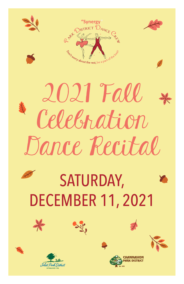

## 2021 Fall Celebration Dance Recital

## SATURDAY, DECEMBER 11, 2021







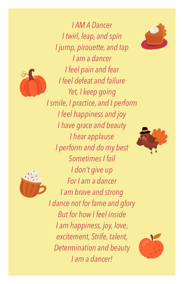



*I AM A Dancer I twirl, leap, and spin I jump, pirouette, and tap I am a dancer I feel pain and fear I feel defeat and failure Yet, I keep going I smile, I practice, and I perform I feel happiness and joy I have grace and beauty I hear applause I perform and do my best Sometimes I fail I don't give up For I am a dancer I am brave and strong I dance not for fame and glory But for how I feel inside I am happiness, joy, love, excitement, Strife, talent, Determination and beauty I am a dancer!*





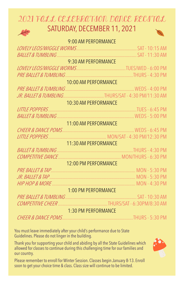## 2021 FALL CELEBRATION DANCE RECITAL SATURDAY, DECEMBER 11, 2021

|                                | 9:00 AM PERFORMANCE                               |  |
|--------------------------------|---------------------------------------------------|--|
|                                |                                                   |  |
|                                |                                                   |  |
|                                | 9:30 AM PERFORMANCE                               |  |
|                                |                                                   |  |
|                                |                                                   |  |
|                                | 10:00 AM PERFORMANCE                              |  |
|                                |                                                   |  |
|                                | JR. BALLET & TUMBLINGTHURS/SAT - 4:30 PM/11:30 AM |  |
|                                | 10:30 AM PERFORMANCE                              |  |
|                                |                                                   |  |
|                                |                                                   |  |
|                                | 11:00 AM PERFORMANCE                              |  |
|                                |                                                   |  |
|                                |                                                   |  |
|                                | 11:30 AM PERFORMANCE                              |  |
|                                |                                                   |  |
|                                |                                                   |  |
|                                | 12:00 PM PERFORMANCE                              |  |
|                                |                                                   |  |
|                                |                                                   |  |
|                                |                                                   |  |
|                                | 1:00 PM PERFORMANCE                               |  |
|                                |                                                   |  |
|                                |                                                   |  |
|                                | 1:30 PM PERFORMANCE                               |  |
| <b>CHEER &amp; DANCE POMS.</b> |                                                   |  |

You must leave immediately after your child's performance due to State Guidelines. Please do not linger in the building.

Thank you for supporting your child and abiding by all the State Guidelines which allowed for classes to continue during this challenging time for our families and our country.



Please remember to enroll for Winter Session. Classes begin January 8-13. Enroll soon to get your choice time & class. Class size will continue to be limited.